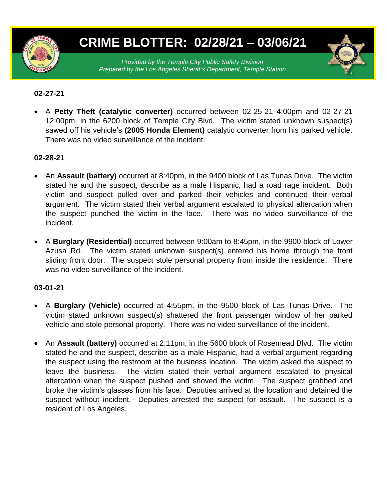

# **CRIME BLOTTER: 02/28/21 – 03/06/21**

*Provided by the Temple City Public Safety Division Prepared by the Los Angeles Sheriff's Department, Temple Station*

## **02-27-21**

 A **Petty Theft (catalytic converter)** occurred between 02-25-21 4:00pm and 02-27-21 12:00pm, in the 6200 block of Temple City Blvd. The victim stated unknown suspect(s) sawed off his vehicle's **(2005 Honda Element)** catalytic converter from his parked vehicle. There was no video surveillance of the incident.

## **02-28-21**

- An **Assault (battery)** occurred at 8:40pm, in the 9400 block of Las Tunas Drive. The victim stated he and the suspect, describe as a male Hispanic, had a road rage incident. Both victim and suspect pulled over and parked their vehicles and continued their verbal argument. The victim stated their verbal argument escalated to physical altercation when the suspect punched the victim in the face. There was no video surveillance of the incident.
- A **Burglary (Residential)** occurred between 9:00am to 8:45pm, in the 9900 block of Lower Azusa Rd. The victim stated unknown suspect(s) entered his home through the front sliding front door. The suspect stole personal property from inside the residence. There was no video surveillance of the incident.

#### **03-01-21**

- A **Burglary (Vehicle)** occurred at 4:55pm, in the 9500 block of Las Tunas Drive. The victim stated unknown suspect(s) shattered the front passenger window of her parked vehicle and stole personal property. There was no video surveillance of the incident.
- An **Assault (battery)** occurred at 2:11pm, in the 5600 block of Rosemead Blvd. The victim stated he and the suspect, describe as a male Hispanic, had a verbal argument regarding the suspect using the restroom at the business location. The victim asked the suspect to leave the business. The victim stated their verbal argument escalated to physical altercation when the suspect pushed and shoved the victim. The suspect grabbed and broke the victim's glasses from his face. Deputies arrived at the location and detained the suspect without incident. Deputies arrested the suspect for assault. The suspect is a resident of Los Angeles.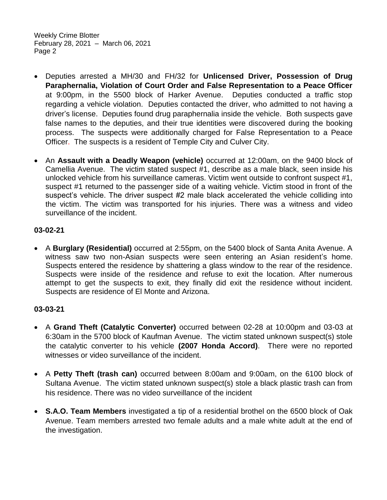Weekly Crime Blotter February 28, 2021 – March 06, 2021 Page 2

- Deputies arrested a MH/30 and FH/32 for **Unlicensed Driver, Possession of Drug Paraphernalia, Violation of Court Order and False Representation to a Peace Officer**  at 9:00pm, in the 5500 block of Harker Avenue. Deputies conducted a traffic stop regarding a vehicle violation. Deputies contacted the driver, who admitted to not having a driver's license. Deputies found drug paraphernalia inside the vehicle. Both suspects gave false names to the deputies, and their true identities were discovered during the booking process. The suspects were additionally charged for False Representation to a Peace Officer. The suspects is a resident of Temple City and Culver City.
- An **Assault with a Deadly Weapon (vehicle)** occurred at 12:00am, on the 9400 block of Camellia Avenue. The victim stated suspect #1, describe as a male black, seen inside his unlocked vehicle from his surveillance cameras. Victim went outside to confront suspect #1, suspect #1 returned to the passenger side of a waiting vehicle. Victim stood in front of the suspect's vehicle. The driver suspect #2 male black accelerated the vehicle colliding into the victim. The victim was transported for his injuries. There was a witness and video surveillance of the incident.

## **03-02-21**

 A **Burglary (Residential)** occurred at 2:55pm, on the 5400 block of Santa Anita Avenue. A witness saw two non-Asian suspects were seen entering an Asian resident's home. Suspects entered the residence by shattering a glass window to the rear of the residence. Suspects were inside of the residence and refuse to exit the location. After numerous attempt to get the suspects to exit, they finally did exit the residence without incident. Suspects are residence of El Monte and Arizona.

#### **03-03-21**

- A **Grand Theft (Catalytic Converter)** occurred between 02-28 at 10:00pm and 03-03 at 6:30am in the 5700 block of Kaufman Avenue. The victim stated unknown suspect(s) stole the catalytic converter to his vehicle **(2007 Honda Accord)**. There were no reported witnesses or video surveillance of the incident.
- A **Petty Theft (trash can)** occurred between 8:00am and 9:00am, on the 6100 block of Sultana Avenue. The victim stated unknown suspect(s) stole a black plastic trash can from his residence. There was no video surveillance of the incident
- **S.A.O. Team Members** investigated a tip of a residential brothel on the 6500 block of Oak Avenue. Team members arrested two female adults and a male white adult at the end of the investigation.